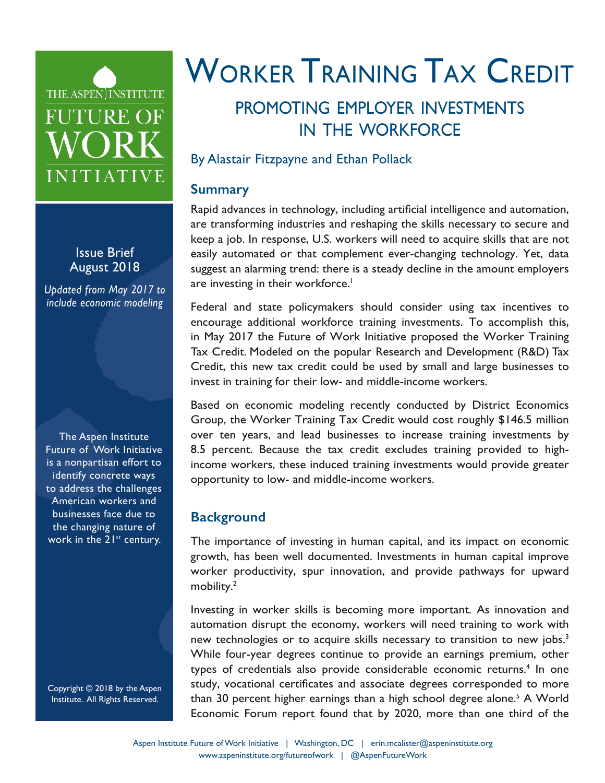## <span id="page-0-0"></span>THE ASPEN INSTITUTE **FUTURE OF** WORK INITIATIVE

Issue Brief August 2018

*Updated from May 2017 to include economic modeling*

The Aspen Institute Future of Work Initiative is a nonpartisan effort to identify concrete ways to address the challenges American workers and businesses face due to the changing nature of work in the 21<sup>st</sup> century.

Copyright © 2018 by the Aspen Institute. All Rights Reserved.

# WORKER TRAINING TAX CREDIT

### promoting employer investments in the workforce

#### By Alastair Fitzpayne and Ethan Pollack

#### **Summary**

Rapid advances in technology, including artificial intelligence and automation, are transforming industries and reshaping the skills necessary to secure and keep a job. In response, U.S. workers will need to acquire skills that are not easily automated or that complement ever-changing technology. Yet, data suggest an alarming trend: there is a steady decline in the amount employers are investing in their workforce.<sup>1</sup>

Federal and state policymakers should consider using tax incentives to encourage additional workforce training investments. To accomplish this, in May 2017 the Future of Work Initiative proposed the Worker Training Tax Credit. Modeled on the popular Research and Development (R&D) Tax Credit, this new tax credit could be used by small and large businesses to invest in training for their low- and middle-income workers.

Based on economic modeling recently conducted by District Economics Group, the Worker Training Tax Credit would cost roughly \$146.5 million over ten years, and lead businesses to increase training investments by 8.5 percent. Because the tax credit excludes training provided to highincome workers, these induced training investments would provide greater opportunity to low- and middle-income workers.

#### **Background**

The importance of investing in human capital, and its impact on economic growth, has been well documented. Investments in human capital improve worker productivity, spur innovation, and provide pathways for upward mobility.<sup>[2](#page-4-0)</sup>

Investing in worker skills is becoming more important. As innovation and automation disrupt the economy, workers will need training to work with new technologies or to acquire skills necessary to transition to new jobs.<sup>3</sup> While four-year degrees continue to provide an earnings premium, other types of credentials also provide considerable economic returns.<sup>[4](#page-4-0)</sup> In one study, vocational certificates and associate degrees corresponded to more than 30 percent higher earnings than a high school degree alone.<sup>[5](#page-4-0)</sup> A World Economic Forum report found that by 2020, more than one third of the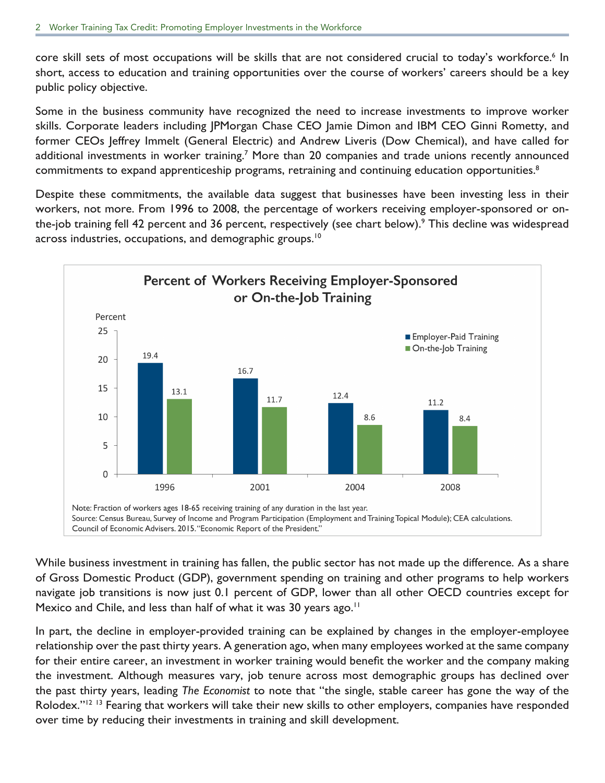<span id="page-1-0"></span>core skill sets of most occupations will be skills that are not considered crucial to today's workforce.<sup>[6](#page-4-0)</sup> In short, access to education and training opportunities over the course of workers' careers should be a key public policy objective.

Some in the business community have recognized the need to increase investments to improve worker skills. Corporate leaders including JPMorgan Chase CEO Jamie Dimon and IBM CEO Ginni Rometty, and former CEOs Jeffrey Immelt (General Electric) and Andrew Liveris (Dow Chemical), and have called for additional investments in worker training.<sup>[7](#page-4-0)</sup> More than 20 companies and trade unions recently announced commitments to expand apprenticeship programs, retraining and continuing education opportunities.<sup>[8](#page-4-0)</sup>

Despite these commitments, the available data suggest that businesses have been investing less in their workers, not more. From 1996 to 2008, the percentage of workers receiving employer-sponsored or onthe-job training fell 42 percent and 36 percent, respectively (see chart below).<sup>9</sup> This decline was widespread across industries, occupations, and demographic groups.<sup>[10](#page-4-0)</sup>



While business investment in training has fallen, the public sector has not made up the difference. As a share of Gross Domestic Product (GDP), government spending on training and other programs to help workers navigate job transitions is now just 0.1 percent of GDP, lower than all other OECD countries except for Mexico and Chile, and less than half of what it was 30 years ago.<sup>[11](#page-4-0)</sup>

In part, the decline in employer-provided training can be explained by changes in the employer-employee relationship over the past thirty years. A generation ago, when many employees worked at the same company for their entire career, an investment in worker training would benefit the worker and the company making the investment. Although measures vary, job tenure across most demographic groups has declined over the past thirty years, leading *The Economist* to note that "the single, stable career has gone the way of the Rolodex."<sup>[12](#page-4-0) [13](#page-4-0)</sup> Fearing that workers will take their new skills to other employers, companies have responded over time by reducing their investments in training and skill development.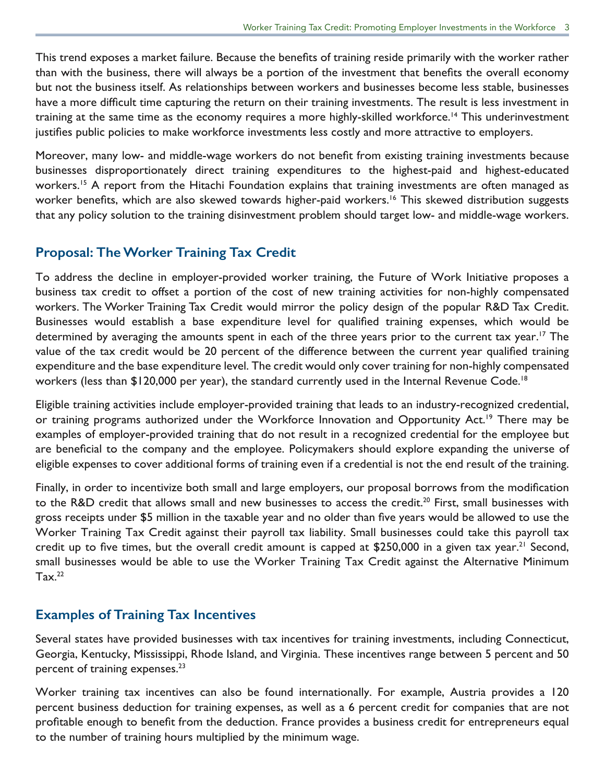<span id="page-2-0"></span>This trend exposes a market failure. Because the benefits of training reside primarily with the worker rather than with the business, there will always be a portion of the investment that benefits the overall economy but not the business itself. As relationships between workers and businesses become less stable, businesses have a more difficult time capturing the return on their training investments. The result is less investment in training at the same time as the economy requires a more highly-skilled workforce.<sup>14</sup> This underinvestment justifies public policies to make workforce investments less costly and more attractive to employers.

Moreover, many low- and middle-wage workers do not benefit from existing training investments because businesses disproportionately direct training expenditures to the highest-paid and highest-educated workers.<sup>[15](#page-4-0)</sup> A report from the Hitachi Foundation explains that training investments are often managed as worker benefits, which are also skewed towards higher-paid workers.<sup>16</sup> This skewed distribution suggests that any policy solution to the training disinvestment problem should target low- and middle-wage workers.

#### **Proposal: The Worker Training Tax Credit**

To address the decline in employer-provided worker training, the Future of Work Initiative proposes a business tax credit to offset a portion of the cost of new training activities for non-highly compensated workers. The Worker Training Tax Credit would mirror the policy design of the popular R&D Tax Credit. Businesses would establish a base expenditure level for qualified training expenses, which would be determined by averaging the amounts spent in each of the three years prior to the current tax year.<sup>[17](#page-4-0)</sup> The value of the tax credit would be 20 percent of the difference between the current year qualified training expenditure and the base expenditure level. The credit would only cover training for non-highly compensated workers (less than \$120,000 per year), the standard currently used in the Internal Revenue Code.<sup>[18](#page-5-0)</sup>

Eligible training activities include employer-provided training that leads to an industry-recognized credential, or training programs authorized under the Workforce Innovation and Opportunity Act.<sup>19</sup> There may be examples of employer-provided training that do not result in a recognized credential for the employee but are beneficial to the company and the employee. Policymakers should explore expanding the universe of eligible expenses to cover additional forms of training even if a credential is not the end result of the training.

Finally, in order to incentivize both small and large employers, our proposal borrows from the modification to the R&D credit that allows small and new businesses to access the credit.<sup>[20](#page-5-0)</sup> First, small businesses with gross receipts under \$5 million in the taxable year and no older than five years would be allowed to use the Worker Training Tax Credit against their payroll tax liability. Small businesses could take this payroll tax credit up to five times, but the overall credit amount is capped at \$250,000 in a given tax year.<sup>21</sup> Second, small businesses would be able to use the Worker Training Tax Credit against the Alternative Minimum  $Tax.^{22}$  $Tax.^{22}$  $Tax.^{22}$ 

#### **Examples of Training Tax Incentives**

Several states have provided businesses with tax incentives for training investments, including Connecticut, Georgia, Kentucky, Mississippi, Rhode Island, and Virginia. These incentives range between 5 percent and 50 percent of training expenses.<sup>[23](#page-5-0)</sup>

Worker training tax incentives can also be found internationally. For example, Austria provides a 120 percent business deduction for training expenses, as well as a 6 percent credit for companies that are not profitable enough to benefit from the deduction. France provides a business credit for entrepreneurs equal to the number of training hours multiplied by the minimum wage.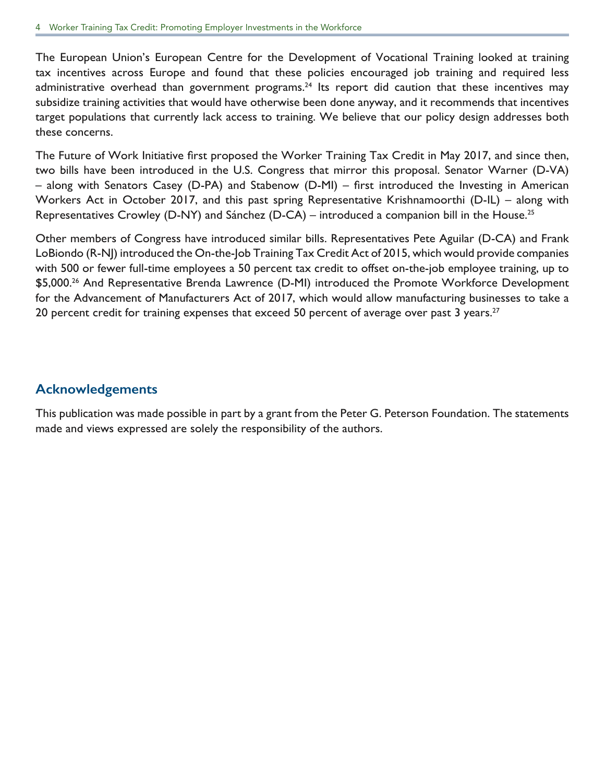<span id="page-3-0"></span>The European Union's European Centre for the Development of Vocational Training looked at training tax incentives across Europe and found that these policies encouraged job training and required less administrative overhead than government programs.<sup>24</sup> Its report did caution that these incentives may subsidize training activities that would have otherwise been done anyway, and it recommends that incentives target populations that currently lack access to training. We believe that our policy design addresses both these concerns.

The Future of Work Initiative first proposed the Worker Training Tax Credit in May 2017, and since then, two bills have been introduced in the U.S. Congress that mirror this proposal. Senator Warner (D-VA) – along with Senators Casey (D-PA) and Stabenow (D-MI) – first introduced the Investing in American Workers Act in October 2017, and this past spring Representative Krishnamoorthi (D-IL) – along with Representatives Crowley (D-NY) and Sánchez (D-CA) – introduced a companion bill in the House.<sup>[25](#page-5-0)</sup>

Other members of Congress have introduced similar bills. Representatives Pete Aguilar (D-CA) and Frank LoBiondo (R-NJ) introduced the On-the-Job Training Tax Credit Act of 2015, which would provide companies with 500 or fewer full-time employees a 50 percent tax credit to offset on-the-job employee training, up to \$5,000.<sup>[26](#page-5-0)</sup> And Representative Brenda Lawrence (D-MI) introduced the Promote Workforce Development for the Advancement of Manufacturers Act of 2017, which would allow manufacturing businesses to take a 20 percent credit for training expenses that exceed 50 percent of average over past 3 years.<sup>[27](#page-5-0)</sup>

#### **Acknowledgements**

This publication was made possible in part by a grant from the Peter G. Peterson Foundation. The statements made and views expressed are solely the responsibility of the authors.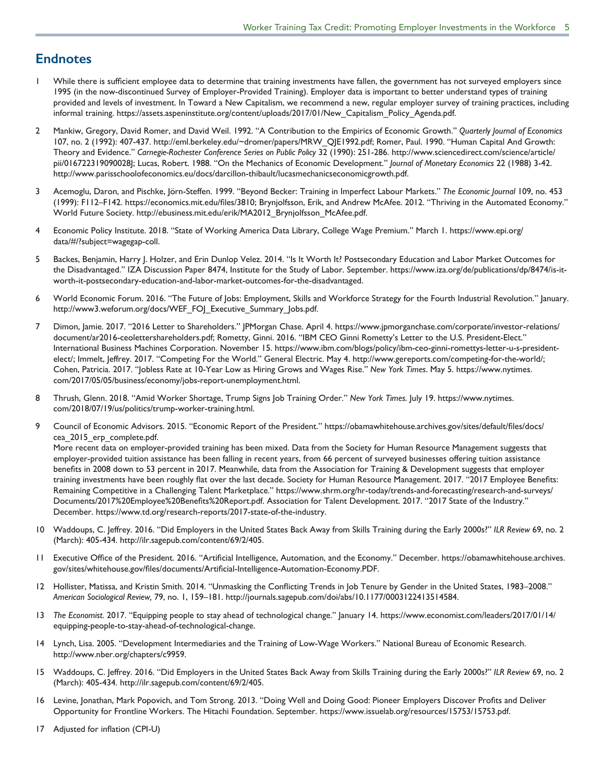#### <span id="page-4-0"></span>**Endnotes**

- [1](#page-0-0) While there is sufficient employee data to determine that training investments have fallen, the government has not surveyed employers since 1995 (in the now-discontinued Survey of Employer-Provided Training). Employer data is important to better understand types of training provided and levels of investment. In Toward a New Capitalism, we recommend a new, regular employer survey of training practices, including informal training. [https://assets.aspeninstitute.org/content/uploads/2017/01/New\\_Capitalism\\_Policy\\_Agenda.pdf](https://assets.aspeninstitute.org/content/uploads/2017/01/New_Capitalism_Policy_Agenda.pdf).
- [2](#page-0-0) Mankiw, Gregory, David Romer, and David Weil. 1992. "A Contribution to the Empirics of Economic Growth." *Quarterly Journal of Economics* 107, no. 2 (1992): 407-437. [http://eml.berkeley.edu/~dromer/papers/MRW\\_QJE1992.pdf;](http://eml.berkeley.edu/~dromer/papers/MRW_QJE1992.pdf) Romer, Paul. 1990. "Human Capital And Growth: Theory and Evidence." *Carnegie-Rochester Conference Series on Public Policy* 32 (1990): 251-286. [http://www.sciencedirect.com/science/article/](http://www.sciencedirect.com/science/article/pii/016722319090028J) [pii/016722319090028J;](http://www.sciencedirect.com/science/article/pii/016722319090028J) Lucas, Robert. 1988. "On the Mechanics of Economic Development." *Journal of Monetary Economics* 22 (1988) 3-42. <http://www.parisschoolofeconomics.eu/docs/darcillon-thibault/lucasmechanicseconomicgrowth.pdf>.
- [3](#page-0-0) Acemoglu, Daron, and Pischke, Jörn-Steffen. 1999. "Beyond Becker: Training in Imperfect Labour Markets." *The Economic Journal* 109, no. 453 (1999): F112–F142. [https://economics.mit.edu/files/3810;](https://economics.mit.edu/files/3810) Brynjolfsson, Erik, and Andrew McAfee. 2012. "Thriving in the Automated Economy." World Future Society. [http://ebusiness.mit.edu/erik/MA2012\\_Brynjolfsson\\_McAfee.pdf](http://ebusiness.mit.edu/erik/MA2012_Brynjolfsson_McAfee.pdf).
- [4](#page-0-0) Economic Policy Institute. 2018. "State of Working America Data Library, College Wage Premium." March 1. [https://www.epi.org/](https://www.epi.org/data/#/?subject=wagegap-coll) [data/#/?subject=wagegap-coll](https://www.epi.org/data/#/?subject=wagegap-coll).
- [5](#page-0-0) Backes, Benjamin, Harry J. Holzer, and Erin Dunlop Velez. 2014. "Is It Worth It? Postsecondary Education and Labor Market Outcomes for the Disadvantaged." IZA Discussion Paper 8474, Institute for the Study of Labor. September. [https://www.iza.org/de/publications/dp/8474/is-it](https://www.iza.org/de/publications/dp/8474/is-it-worth-it-postsecondary-education-and-labor-market-outcomes-for-the-disadvantaged)[worth-it-postsecondary-education-and-labor-market-outcomes-for-the-disadvantaged](https://www.iza.org/de/publications/dp/8474/is-it-worth-it-postsecondary-education-and-labor-market-outcomes-for-the-disadvantaged).
- [6](#page-1-0) World Economic Forum. 2016. "The Future of Jobs: Employment, Skills and Workforce Strategy for the Fourth Industrial Revolution." January. [http://www3.weforum.org/docs/WEF\\_FOJ\\_Executive\\_Summary\\_Jobs.pdf](http://www3.weforum.org/docs/WEF_FOJ_Executive_Summary_Jobs.pdf).
- [7](#page-1-0) Dimon, Jamie. 2017. "2016 Letter to Shareholders." JPMorgan Chase. April 4. [https://www.jpmorganchase.com/corporate/investor-relations/](https://www.jpmorganchase.com/corporate/investor-relations/document/ar2016-ceolettershareholders.pdf) [document/ar2016-ceolettershareholders.pdf](https://www.jpmorganchase.com/corporate/investor-relations/document/ar2016-ceolettershareholders.pdf); Rometty, Ginni. 2016. "IBM CEO Ginni Rometty's Letter to the U.S. President-Elect." International Business Machines Corporation. November 15. [https://www.ibm.com/blogs/policy/ibm-ceo-ginni-romettys-letter-u-s-president](https://www.ibm.com/blogs/policy/ibm-ceo-ginni-romettys-letter-u-s-president-elect/)[elect/](https://www.ibm.com/blogs/policy/ibm-ceo-ginni-romettys-letter-u-s-president-elect/); Immelt, Jeffrey. 2017. "Competing For the World." General Electric. May 4.<http://www.gereports.com/competing-for-the-world/>; Cohen, Patricia. 2017. "Jobless Rate at 10-Year Low as Hiring Grows and Wages Rise." *New York Times*. May 5. [https://www.nytimes.](https://www.nytimes.com/2017/05/05/business/economy/jobs-report-unemployment.html) [com/2017/05/05/business/economy/jobs-report-unemployment.html](https://www.nytimes.com/2017/05/05/business/economy/jobs-report-unemployment.html).
- [8](#page-1-0) Thrush, Glenn. 2018. "Amid Worker Shortage, Trump Signs Job Training Order." *New York Times.* July 19. [https://www.nytimes.](https://www.nytimes.com/2018/07/19/us/politics/trump-worker-training.html) [com/2018/07/19/us/politics/trump-worker-training.html](https://www.nytimes.com/2018/07/19/us/politics/trump-worker-training.html).
- [9](#page-1-0) Council of Economic Advisors. 2015. "Economic Report of the President." [https://obamawhitehouse.archives.gov/sites/default/files/docs/](https://obamawhitehouse.archives.gov/sites/default/files/docs/cea_2015_erp_complete.pdf) [cea\\_2015\\_erp\\_complete.pdf](https://obamawhitehouse.archives.gov/sites/default/files/docs/cea_2015_erp_complete.pdf). More recent data on employer-provided training has been mixed. Data from the Society for Human Resource Management suggests that

employer-provided tuition assistance has been falling in recent years, from 66 percent of surveyed businesses offering tuition assistance benefits in 2008 down to 53 percent in 2017. Meanwhile, data from the Association for Training & Development suggests that employer training investments have been roughly flat over the last decade. Society for Human Resource Management. 2017. "2017 Employee Benefits: Remaining Competitive in a Challenging Talent Marketplace." [https://www.shrm.org/hr-today/trends-and-forecasting/research-and-surveys/](https://www.shrm.org/hr-today/trends-and-forecasting/research-and-surveys/Documents/2017%20Employee%20Benefits%20Report.pdf) [Documents/2017%20Employee%20Benefits%20Report.pdf.](https://www.shrm.org/hr-today/trends-and-forecasting/research-and-surveys/Documents/2017%20Employee%20Benefits%20Report.pdf) Association for Talent Development. 2017. "2017 State of the Industry." December.<https://www.td.org/research-reports/2017-state-of-the-industry>.

- [10](#page-1-0) Waddoups, C. Jeffrey. 2016. "Did Employers in the United States Back Away from Skills Training during the Early 2000s?" *ILR Review* 69, no. 2 (March): 405-434. <http://ilr.sagepub.com/content/69/2/405>.
- [11](#page-1-0) Executive Office of the President. 2016. "Artificial Intelligence, Automation, and the Economy." December. [https://obamawhitehouse.archives.](https://obamawhitehouse.archives.gov/sites/whitehouse.gov/files/documents/Artificial-Intelligence-Automation-Economy.PDF.) [gov/sites/whitehouse.gov/files/documents/Artificial-Intelligence-Automation-Economy.PDF](https://obamawhitehouse.archives.gov/sites/whitehouse.gov/files/documents/Artificial-Intelligence-Automation-Economy.PDF.).
- [12](#page-1-0) Hollister, Matissa, and Kristin Smith. 2014. "Unmasking the Conflicting Trends in Job Tenure by Gender in the United States, 1983–2008." *American Sociological Review,* 79, no. 1, 159–181. <http://journals.sagepub.com/doi/abs/10.1177/0003122413514584>.
- [13](#page-1-0) *The Economist*. 2017. "Equipping people to stay ahead of technological change." January 14. [https://www.economist.com/leaders/2017/01/14/](https://www.economist.com/leaders/2017/01/14/equipping-people-to-stay-ahead-of-technological-change) [equipping-people-to-stay-ahead-of-technological-change](https://www.economist.com/leaders/2017/01/14/equipping-people-to-stay-ahead-of-technological-change).
- [14](#page-2-0) Lynch, Lisa. 2005. "Development Intermediaries and the Training of Low-Wage Workers." National Bureau of Economic Research. <http://www.nber.org/chapters/c9959.>
- [15](#page-2-0) Waddoups, C. Jeffrey. 2016. "Did Employers in the United States Back Away from Skills Training during the Early 2000s?" *ILR Review* 69, no. 2 (March): 405-434. <http://ilr.sagepub.com/content/69/2/405>.
- [16](#page-2-0) Levine, Jonathan, Mark Popovich, and Tom Strong. 2013. "Doing Well and Doing Good: Pioneer Employers Discover Profits and Deliver Opportunity for Frontline Workers. The Hitachi Foundation. September. <https://www.issuelab.org/resources/15753/15753.pdf>.
- [17](#page-2-0) Adjusted for inflation (CPI-U)